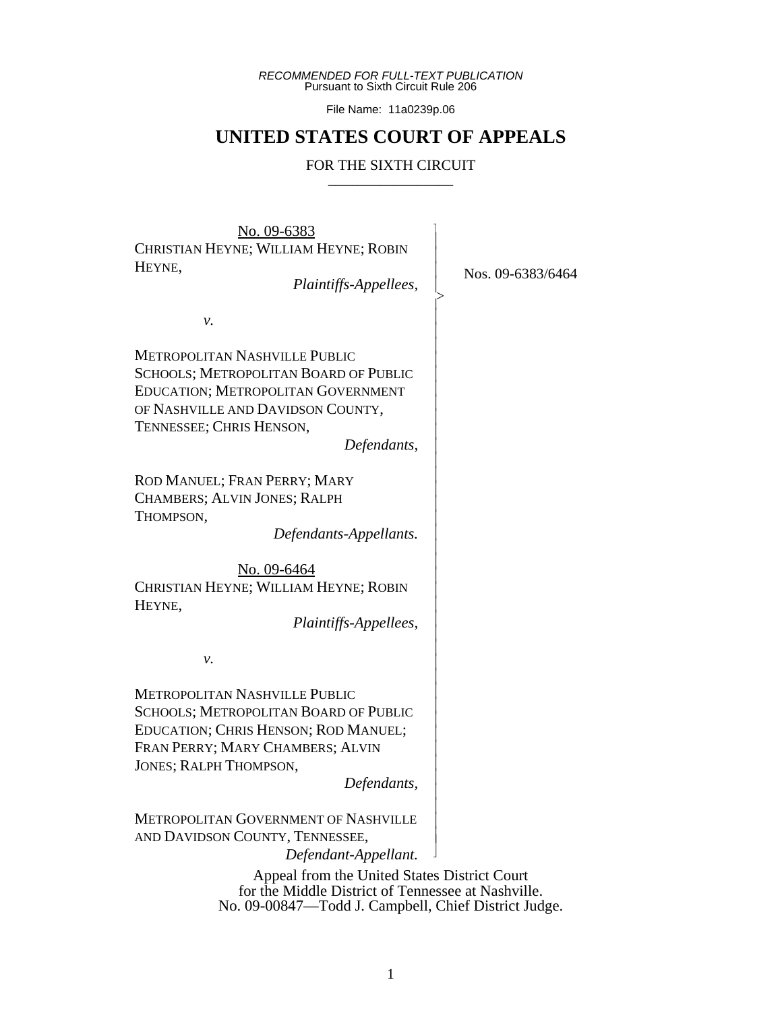*RECOMMENDED FOR FULL-TEXT PUBLICATION* Pursuant to Sixth Circuit Rule 206

File Name: 11a0239p.06

# **UNITED STATES COURT OF APPEALS**

## FOR THE SIXTH CIRCUIT

 $\overline{\phantom{a}}$ - - - > , - - - - - - - - - - - - - - - - - - - - - - - - - - - - - - - - - - - - - N

No. 09-6383 CHRISTIAN HEYNE; WILLIAM HEYNE; ROBIN HEYNE,

 *Plaintiffs-Appellees,*

Nos. 09-6383/6464

*v.*

METROPOLITAN NASHVILLE PUBLIC SCHOOLS; METROPOLITAN BOARD OF PUBLIC EDUCATION; METROPOLITAN GOVERNMENT OF NASHVILLE AND DAVIDSON COUNTY, TENNESSEE; CHRIS HENSON,

*Defendants,*

ROD MANUEL; FRAN PERRY; MARY CHAMBERS; ALVIN JONES; RALPH THOMPSON,

 *Defendants-Appellants.*

No. 09-6464 CHRISTIAN HEYNE; WILLIAM HEYNE; ROBIN HEYNE,

 *Plaintiffs-Appellees,*

*v.*

METROPOLITAN NASHVILLE PUBLIC SCHOOLS; METROPOLITAN BOARD OF PUBLIC EDUCATION; CHRIS HENSON; ROD MANUEL; FRAN PERRY; MARY CHAMBERS; ALVIN JONES; RALPH THOMPSON,

*Defendants,*

METROPOLITAN GOVERNMENT OF NASHVILLE AND DAVIDSON COUNTY, TENNESSEE,

*Defendant-Appellant.*

Appeal from the United States District Court for the Middle District of Tennessee at Nashville. No. 09-00847—Todd J. Campbell, Chief District Judge.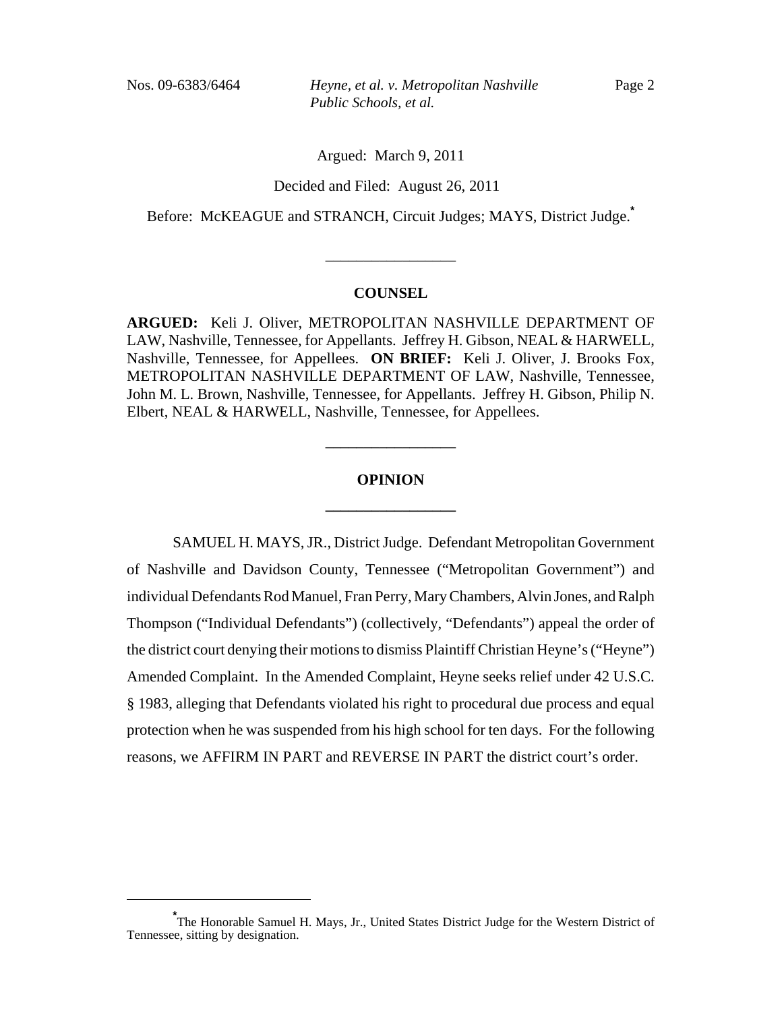Nos. 09-6383/6464 *Heyne, et al. v. Metropolitan Nashville Public Schools, et al.*

Argued: March 9, 2011

Decided and Filed: August 26, 2011

Before: McKEAGUE and STRANCH, Circuit Judges; MAYS, District Judge.**\***

#### **COUNSEL**

\_\_\_\_\_\_\_\_\_\_\_\_\_\_\_\_\_

**ARGUED:** Keli J. Oliver, METROPOLITAN NASHVILLE DEPARTMENT OF LAW, Nashville, Tennessee, for Appellants. Jeffrey H. Gibson, NEAL & HARWELL, Nashville, Tennessee, for Appellees. **ON BRIEF:** Keli J. Oliver, J. Brooks Fox, METROPOLITAN NASHVILLE DEPARTMENT OF LAW, Nashville, Tennessee, John M. L. Brown, Nashville, Tennessee, for Appellants. Jeffrey H. Gibson, Philip N. Elbert, NEAL & HARWELL, Nashville, Tennessee, for Appellees.

# **OPINION \_\_\_\_\_\_\_\_\_\_\_\_\_\_\_\_\_**

**\_\_\_\_\_\_\_\_\_\_\_\_\_\_\_\_\_**

SAMUEL H. MAYS, JR., District Judge.Defendant Metropolitan Government of Nashville and Davidson County, Tennessee ("Metropolitan Government") and individual Defendants Rod Manuel, Fran Perry, Mary Chambers, Alvin Jones, and Ralph Thompson ("Individual Defendants") (collectively, "Defendants") appeal the order of the district court denying their motions to dismiss Plaintiff Christian Heyne's ("Heyne") Amended Complaint. In the Amended Complaint, Heyne seeks relief under 42 U.S.C. § 1983, alleging that Defendants violated his right to procedural due process and equal protection when he was suspended from his high school for ten days. For the following reasons, we AFFIRM IN PART and REVERSE IN PART the district court's order.

**<sup>\*</sup>** The Honorable Samuel H. Mays, Jr., United States District Judge for the Western District of Tennessee, sitting by designation.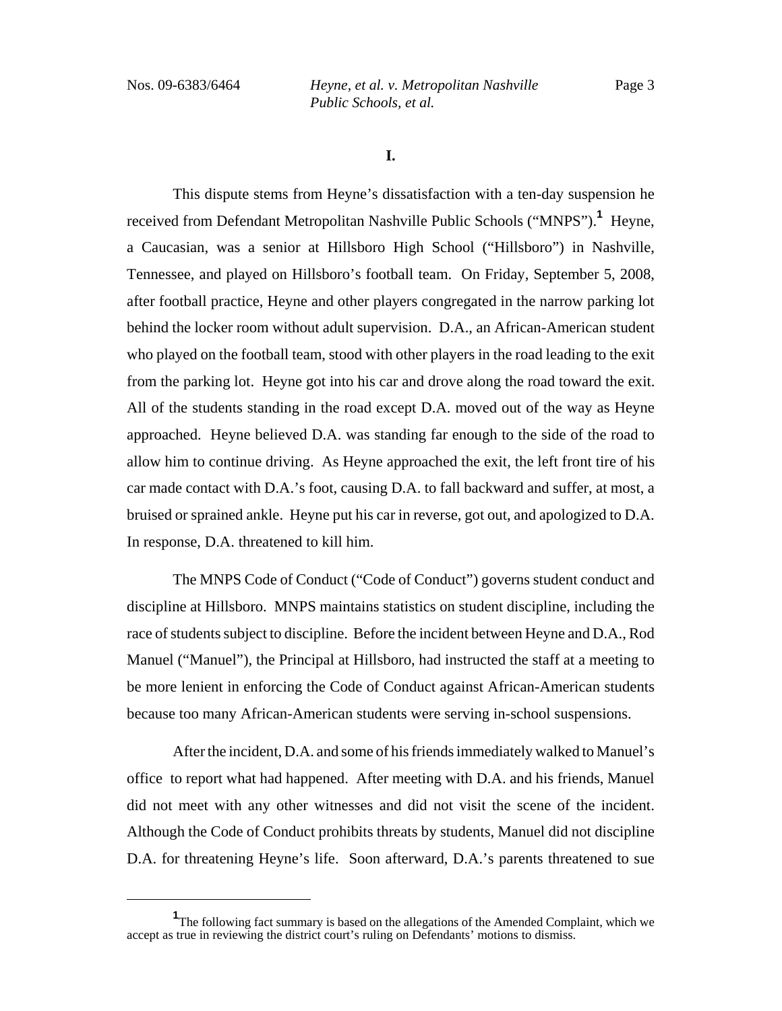Nos. 09-6383/6464 *Heyne, et al. v. Metropolitan Nashville Public Schools, et al.*

**I.**

This dispute stems from Heyne's dissatisfaction with a ten-day suspension he received from Defendant Metropolitan Nashville Public Schools ("MNPS").<sup>1</sup> Heyne, a Caucasian, was a senior at Hillsboro High School ("Hillsboro") in Nashville, Tennessee, and played on Hillsboro's football team. On Friday, September 5, 2008, after football practice, Heyne and other players congregated in the narrow parking lot behind the locker room without adult supervision. D.A., an African-American student who played on the football team, stood with other players in the road leading to the exit from the parking lot. Heyne got into his car and drove along the road toward the exit. All of the students standing in the road except D.A. moved out of the way as Heyne approached. Heyne believed D.A. was standing far enough to the side of the road to allow him to continue driving. As Heyne approached the exit, the left front tire of his car made contact with D.A.'s foot, causing D.A. to fall backward and suffer, at most, a bruised or sprained ankle. Heyne put his car in reverse, got out, and apologized to D.A. In response, D.A. threatened to kill him.

The MNPS Code of Conduct ("Code of Conduct") governs student conduct and discipline at Hillsboro. MNPS maintains statistics on student discipline, including the race of students subject to discipline. Before the incident between Heyne and D.A., Rod Manuel ("Manuel"), the Principal at Hillsboro, had instructed the staff at a meeting to be more lenient in enforcing the Code of Conduct against African-American students because too many African-American students were serving in-school suspensions.

After the incident, D.A. and some of his friends immediately walked to Manuel's office to report what had happened. After meeting with D.A. and his friends, Manuel did not meet with any other witnesses and did not visit the scene of the incident. Although the Code of Conduct prohibits threats by students, Manuel did not discipline D.A. for threatening Heyne's life. Soon afterward, D.A.'s parents threatened to sue

<sup>&</sup>lt;sup>1</sup>The following fact summary is based on the allegations of the Amended Complaint, which we accept as true in reviewing the district court's ruling on Defendants' motions to dismiss.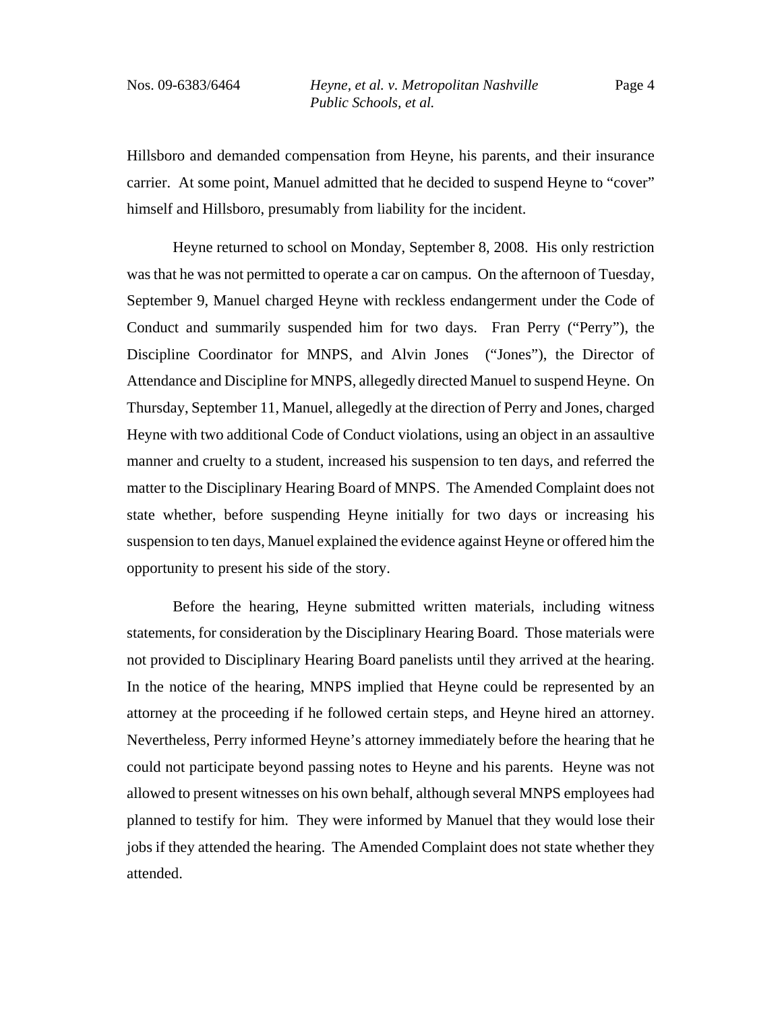Hillsboro and demanded compensation from Heyne, his parents, and their insurance carrier. At some point, Manuel admitted that he decided to suspend Heyne to "cover" himself and Hillsboro, presumably from liability for the incident.

Heyne returned to school on Monday, September 8, 2008. His only restriction was that he was not permitted to operate a car on campus. On the afternoon of Tuesday, September 9, Manuel charged Heyne with reckless endangerment under the Code of Conduct and summarily suspended him for two days. Fran Perry ("Perry"), the Discipline Coordinator for MNPS, and Alvin Jones ("Jones"), the Director of Attendance and Discipline for MNPS, allegedly directed Manuel to suspend Heyne. On Thursday, September 11, Manuel, allegedly at the direction of Perry and Jones, charged Heyne with two additional Code of Conduct violations, using an object in an assaultive manner and cruelty to a student, increased his suspension to ten days, and referred the matter to the Disciplinary Hearing Board of MNPS. The Amended Complaint does not state whether, before suspending Heyne initially for two days or increasing his suspension to ten days, Manuel explained the evidence against Heyne or offered him the opportunity to present his side of the story.

Before the hearing, Heyne submitted written materials, including witness statements, for consideration by the Disciplinary Hearing Board. Those materials were not provided to Disciplinary Hearing Board panelists until they arrived at the hearing. In the notice of the hearing, MNPS implied that Heyne could be represented by an attorney at the proceeding if he followed certain steps, and Heyne hired an attorney. Nevertheless, Perry informed Heyne's attorney immediately before the hearing that he could not participate beyond passing notes to Heyne and his parents. Heyne was not allowed to present witnesses on his own behalf, although several MNPS employees had planned to testify for him. They were informed by Manuel that they would lose their jobs if they attended the hearing. The Amended Complaint does not state whether they attended.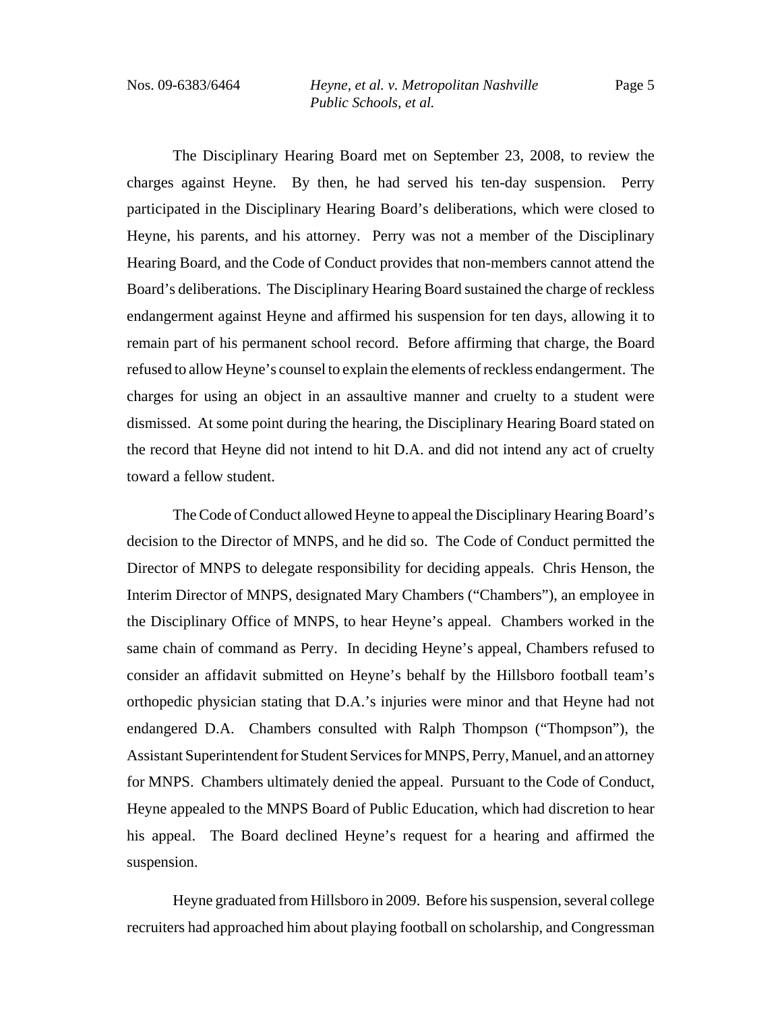The Disciplinary Hearing Board met on September 23, 2008, to review the charges against Heyne. By then, he had served his ten-day suspension. Perry participated in the Disciplinary Hearing Board's deliberations, which were closed to Heyne, his parents, and his attorney. Perry was not a member of the Disciplinary Hearing Board, and the Code of Conduct provides that non-members cannot attend the Board's deliberations. The Disciplinary Hearing Board sustained the charge of reckless endangerment against Heyne and affirmed his suspension for ten days, allowing it to remain part of his permanent school record. Before affirming that charge, the Board refused to allow Heyne's counsel to explain the elements of reckless endangerment. The charges for using an object in an assaultive manner and cruelty to a student were dismissed. At some point during the hearing, the Disciplinary Hearing Board stated on the record that Heyne did not intend to hit D.A. and did not intend any act of cruelty toward a fellow student.

The Code of Conduct allowed Heyne to appeal the Disciplinary Hearing Board's decision to the Director of MNPS, and he did so. The Code of Conduct permitted the Director of MNPS to delegate responsibility for deciding appeals. Chris Henson, the Interim Director of MNPS, designated Mary Chambers ("Chambers"), an employee in the Disciplinary Office of MNPS, to hear Heyne's appeal. Chambers worked in the same chain of command as Perry. In deciding Heyne's appeal, Chambers refused to consider an affidavit submitted on Heyne's behalf by the Hillsboro football team's orthopedic physician stating that D.A.'s injuries were minor and that Heyne had not endangered D.A. Chambers consulted with Ralph Thompson ("Thompson"), the Assistant Superintendent for Student Services for MNPS, Perry, Manuel, and an attorney for MNPS. Chambers ultimately denied the appeal. Pursuant to the Code of Conduct, Heyne appealed to the MNPS Board of Public Education, which had discretion to hear his appeal. The Board declined Heyne's request for a hearing and affirmed the suspension.

Heyne graduated from Hillsboro in 2009. Before his suspension, several college recruiters had approached him about playing football on scholarship, and Congressman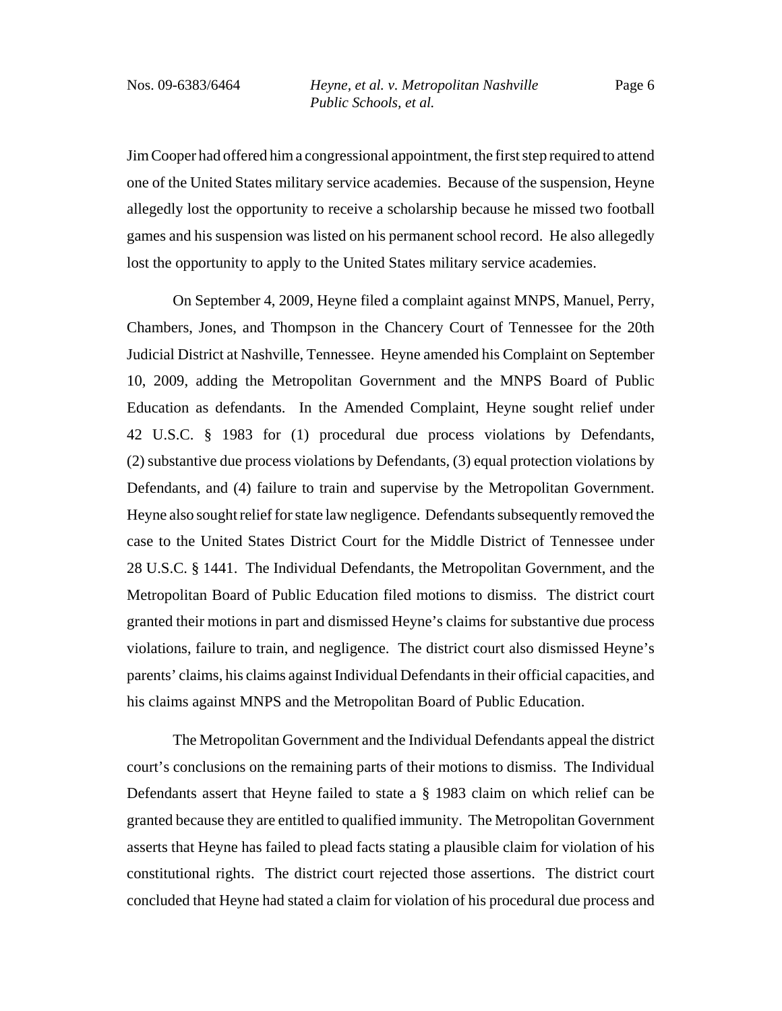Page 6

Jim Cooper had offered him a congressional appointment, the first step required to attend one of the United States military service academies. Because of the suspension, Heyne allegedly lost the opportunity to receive a scholarship because he missed two football games and his suspension was listed on his permanent school record. He also allegedly lost the opportunity to apply to the United States military service academies.

On September 4, 2009, Heyne filed a complaint against MNPS, Manuel, Perry, Chambers, Jones, and Thompson in the Chancery Court of Tennessee for the 20th Judicial District at Nashville, Tennessee. Heyne amended his Complaint on September 10, 2009, adding the Metropolitan Government and the MNPS Board of Public Education as defendants. In the Amended Complaint, Heyne sought relief under 42 U.S.C. § 1983 for (1) procedural due process violations by Defendants, (2) substantive due process violations by Defendants, (3) equal protection violations by Defendants, and (4) failure to train and supervise by the Metropolitan Government. Heyne also sought relief for state law negligence. Defendants subsequently removed the case to the United States District Court for the Middle District of Tennessee under 28 U.S.C. § 1441. The Individual Defendants, the Metropolitan Government, and the Metropolitan Board of Public Education filed motions to dismiss. The district court granted their motions in part and dismissed Heyne's claims for substantive due process violations, failure to train, and negligence. The district court also dismissed Heyne's parents' claims, his claims against Individual Defendants in their official capacities, and his claims against MNPS and the Metropolitan Board of Public Education.

The Metropolitan Government and the Individual Defendants appeal the district court's conclusions on the remaining parts of their motions to dismiss. The Individual Defendants assert that Heyne failed to state a § 1983 claim on which relief can be granted because they are entitled to qualified immunity. The Metropolitan Government asserts that Heyne has failed to plead facts stating a plausible claim for violation of his constitutional rights. The district court rejected those assertions. The district court concluded that Heyne had stated a claim for violation of his procedural due process and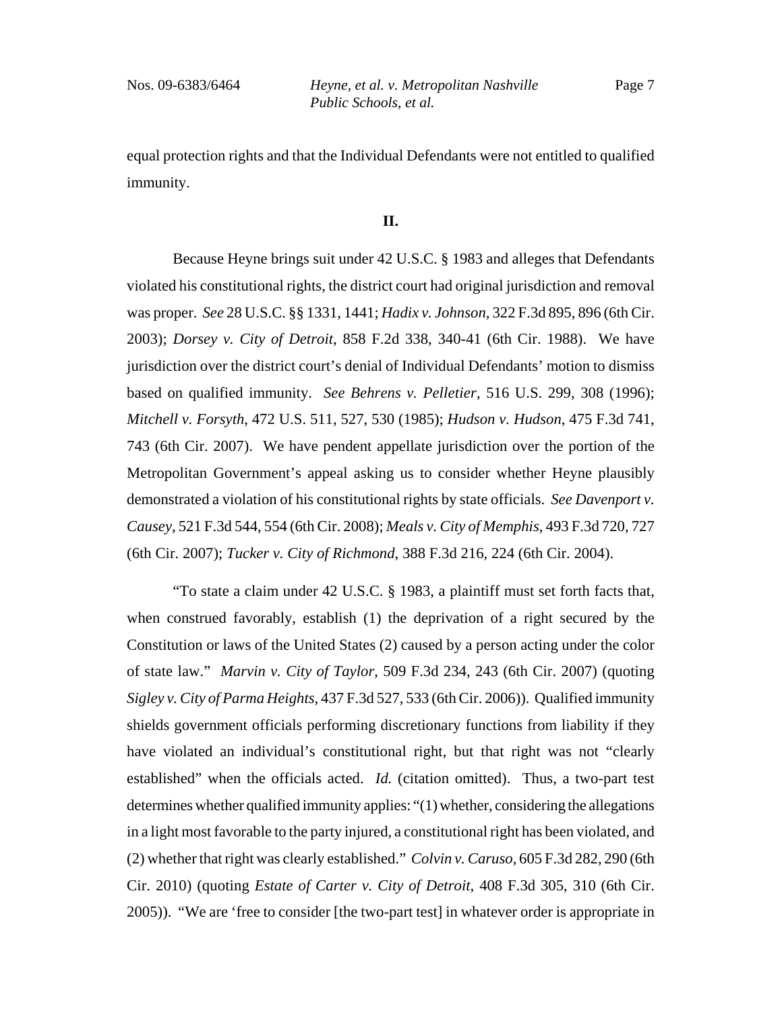equal protection rights and that the Individual Defendants were not entitled to qualified immunity.

# **II.**

Because Heyne brings suit under 42 U.S.C. § 1983 and alleges that Defendants violated his constitutional rights, the district court had original jurisdiction and removal was proper. *See* 28 U.S.C. §§ 1331, 1441; *Hadix v. Johnson*, 322 F.3d 895, 896 (6th Cir. 2003); *Dorsey v. City of Detroit*, 858 F.2d 338, 340-41 (6th Cir. 1988). We have jurisdiction over the district court's denial of Individual Defendants' motion to dismiss based on qualified immunity. *See Behrens v. Pelletier*, 516 U.S. 299, 308 (1996); *Mitchell v. Forsyth*, 472 U.S. 511, 527, 530 (1985); *Hudson v. Hudson*, 475 F.3d 741, 743 (6th Cir. 2007). We have pendent appellate jurisdiction over the portion of the Metropolitan Government's appeal asking us to consider whether Heyne plausibly demonstrated a violation of his constitutional rights by state officials. *See Davenport v. Causey*, 521 F.3d 544, 554 (6th Cir. 2008); *Meals v. City of Memphis*, 493 F.3d 720, 727 (6th Cir. 2007); *Tucker v. City of Richmond*, 388 F.3d 216, 224 (6th Cir. 2004).

"To state a claim under 42 U.S.C. § 1983, a plaintiff must set forth facts that, when construed favorably, establish (1) the deprivation of a right secured by the Constitution or laws of the United States (2) caused by a person acting under the color of state law." *Marvin v. City of Taylor*, 509 F.3d 234, 243 (6th Cir. 2007) (quoting *Sigley v. City of Parma Heights*, 437 F.3d 527, 533 (6th Cir. 2006)). Qualified immunity shields government officials performing discretionary functions from liability if they have violated an individual's constitutional right, but that right was not "clearly established" when the officials acted. *Id.* (citation omitted). Thus, a two-part test determines whether qualified immunity applies: "(1) whether, considering the allegations in a light most favorable to the party injured, a constitutional right has been violated, and (2) whether that right was clearly established." *Colvin v. Caruso*, 605 F.3d 282, 290 (6th Cir. 2010) (quoting *Estate of Carter v. City of Detroit*, 408 F.3d 305, 310 (6th Cir. 2005)). "We are 'free to consider [the two-part test] in whatever order is appropriate in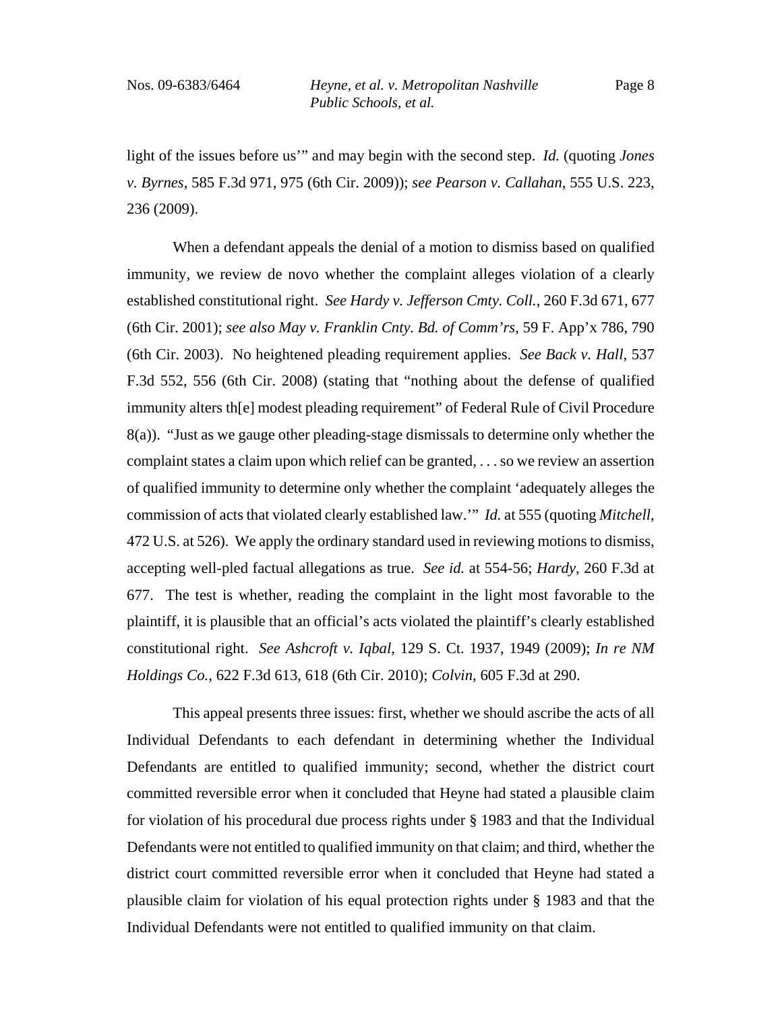light of the issues before us'" and may begin with the second step. *Id.* (quoting *Jones v. Byrnes*, 585 F.3d 971, 975 (6th Cir. 2009)); *see Pearson v. Callahan*, 555 U.S. 223, 236 (2009).

When a defendant appeals the denial of a motion to dismiss based on qualified immunity, we review de novo whether the complaint alleges violation of a clearly established constitutional right. *See Hardy v. Jefferson Cmty. Coll.*, 260 F.3d 671, 677 (6th Cir. 2001); *see also May v. Franklin Cnty. Bd. of Comm'rs*, 59 F. App'x 786, 790 (6th Cir. 2003). No heightened pleading requirement applies. *See Back v. Hall*, 537 F.3d 552, 556 (6th Cir. 2008) (stating that "nothing about the defense of qualified immunity alters th[e] modest pleading requirement" of Federal Rule of Civil Procedure 8(a)). "Just as we gauge other pleading-stage dismissals to determine only whether the complaint states a claim upon which relief can be granted, . . . so we review an assertion of qualified immunity to determine only whether the complaint 'adequately alleges the commission of acts that violated clearly established law.'" *Id.* at 555 (quoting *Mitchell*, 472 U.S. at 526). We apply the ordinary standard used in reviewing motions to dismiss, accepting well-pled factual allegations as true. *See id.* at 554-56; *Hardy*, 260 F.3d at 677. The test is whether, reading the complaint in the light most favorable to the plaintiff, it is plausible that an official's acts violated the plaintiff's clearly established constitutional right. *See Ashcroft v. Iqbal*, 129 S. Ct. 1937, 1949 (2009); *In re NM Holdings Co.*, 622 F.3d 613, 618 (6th Cir. 2010); *Colvin*, 605 F.3d at 290.

This appeal presents three issues: first, whether we should ascribe the acts of all Individual Defendants to each defendant in determining whether the Individual Defendants are entitled to qualified immunity; second, whether the district court committed reversible error when it concluded that Heyne had stated a plausible claim for violation of his procedural due process rights under § 1983 and that the Individual Defendants were not entitled to qualified immunity on that claim; and third, whether the district court committed reversible error when it concluded that Heyne had stated a plausible claim for violation of his equal protection rights under § 1983 and that the Individual Defendants were not entitled to qualified immunity on that claim.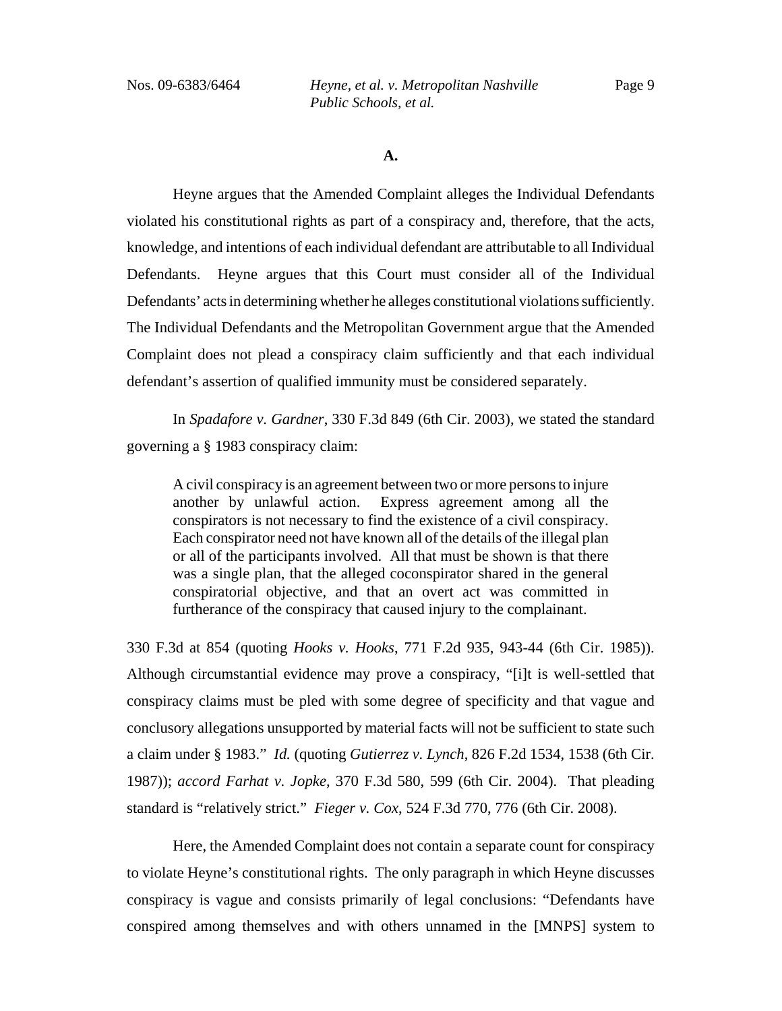Nos. 09-6383/6464 *Heyne, et al. v. Metropolitan Nashville Public Schools, et al.*

**A.**

Heyne argues that the Amended Complaint alleges the Individual Defendants violated his constitutional rights as part of a conspiracy and, therefore, that the acts, knowledge, and intentions of each individual defendant are attributable to all Individual Defendants. Heyne argues that this Court must consider all of the Individual Defendants' acts in determining whether he alleges constitutional violations sufficiently. The Individual Defendants and the Metropolitan Government argue that the Amended Complaint does not plead a conspiracy claim sufficiently and that each individual defendant's assertion of qualified immunity must be considered separately.

In *Spadafore v. Gardner*, 330 F.3d 849 (6th Cir. 2003), we stated the standard governing a § 1983 conspiracy claim:

A civil conspiracy is an agreement between two or more persons to injure another by unlawful action. Express agreement among all the conspirators is not necessary to find the existence of a civil conspiracy. Each conspirator need not have known all of the details of the illegal plan or all of the participants involved. All that must be shown is that there was a single plan, that the alleged coconspirator shared in the general conspiratorial objective, and that an overt act was committed in furtherance of the conspiracy that caused injury to the complainant.

330 F.3d at 854 (quoting *Hooks v. Hooks*, 771 F.2d 935, 943-44 (6th Cir. 1985)). Although circumstantial evidence may prove a conspiracy, "[i]t is well-settled that conspiracy claims must be pled with some degree of specificity and that vague and conclusory allegations unsupported by material facts will not be sufficient to state such a claim under § 1983." *Id.* (quoting *Gutierrez v. Lynch*, 826 F.2d 1534, 1538 (6th Cir. 1987)); *accord Farhat v. Jopke*, 370 F.3d 580, 599 (6th Cir. 2004). That pleading standard is "relatively strict." *Fieger v. Cox*, 524 F.3d 770, 776 (6th Cir. 2008).

Here, the Amended Complaint does not contain a separate count for conspiracy to violate Heyne's constitutional rights. The only paragraph in which Heyne discusses conspiracy is vague and consists primarily of legal conclusions: "Defendants have conspired among themselves and with others unnamed in the [MNPS] system to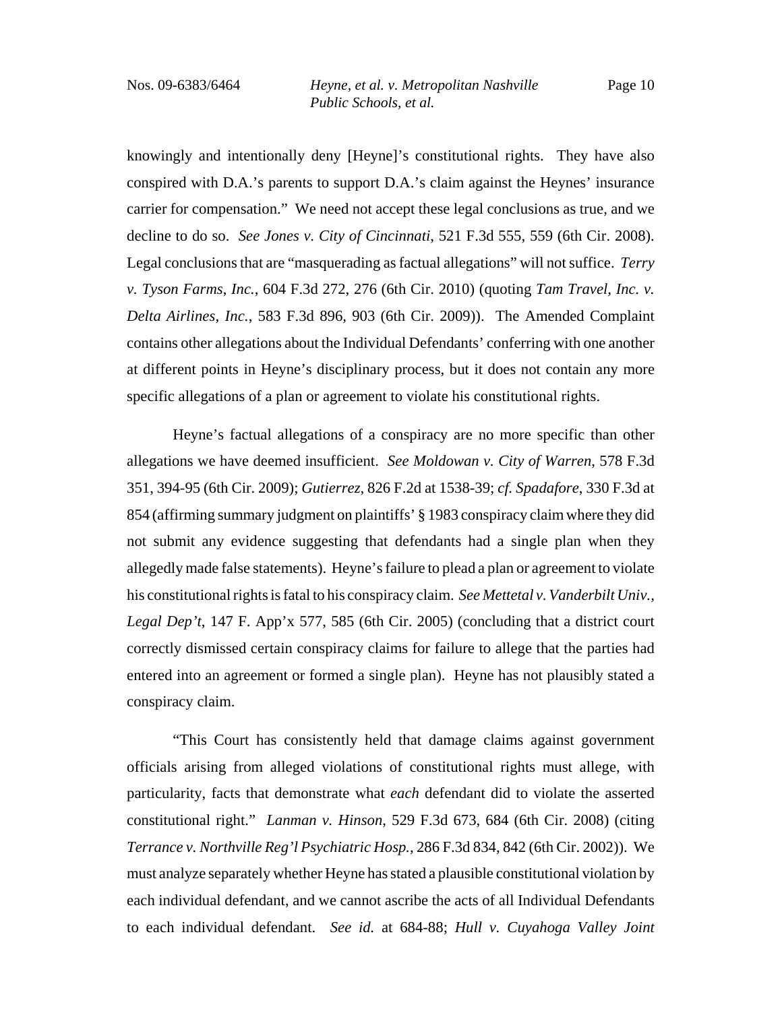knowingly and intentionally deny [Heyne]'s constitutional rights. They have also conspired with D.A.'s parents to support D.A.'s claim against the Heynes' insurance carrier for compensation." We need not accept these legal conclusions as true, and we decline to do so. *See Jones v. City of Cincinnati*, 521 F.3d 555, 559 (6th Cir. 2008). Legal conclusions that are "masquerading as factual allegations" will not suffice. *Terry v. Tyson Farms*, *Inc.*, 604 F.3d 272, 276 (6th Cir. 2010) (quoting *Tam Travel, Inc. v. Delta Airlines, Inc.*, 583 F.3d 896, 903 (6th Cir. 2009)). The Amended Complaint contains other allegations about the Individual Defendants' conferring with one another at different points in Heyne's disciplinary process, but it does not contain any more specific allegations of a plan or agreement to violate his constitutional rights.

Heyne's factual allegations of a conspiracy are no more specific than other allegations we have deemed insufficient. *See Moldowan v. City of Warren*, 578 F.3d 351, 394-95 (6th Cir. 2009); *Gutierrez*, 826 F.2d at 1538-39; *cf. Spadafore*, 330 F.3d at 854 (affirming summary judgment on plaintiffs' § 1983 conspiracy claim where they did not submit any evidence suggesting that defendants had a single plan when they allegedly made false statements). Heyne's failure to plead a plan or agreement to violate his constitutional rights is fatal to his conspiracy claim. *See Mettetal v. Vanderbilt Univ., Legal Dep't*, 147 F. App'x 577, 585 (6th Cir. 2005) (concluding that a district court correctly dismissed certain conspiracy claims for failure to allege that the parties had entered into an agreement or formed a single plan). Heyne has not plausibly stated a conspiracy claim.

"This Court has consistently held that damage claims against government officials arising from alleged violations of constitutional rights must allege, with particularity, facts that demonstrate what *each* defendant did to violate the asserted constitutional right." *Lanman v. Hinson*, 529 F.3d 673, 684 (6th Cir. 2008) (citing *Terrance v. Northville Reg'l Psychiatric Hosp.*, 286 F.3d 834, 842 (6th Cir. 2002)). We must analyze separately whether Heyne has stated a plausible constitutional violation by each individual defendant, and we cannot ascribe the acts of all Individual Defendants to each individual defendant. *See id.* at 684-88; *Hull v. Cuyahoga Valley Joint*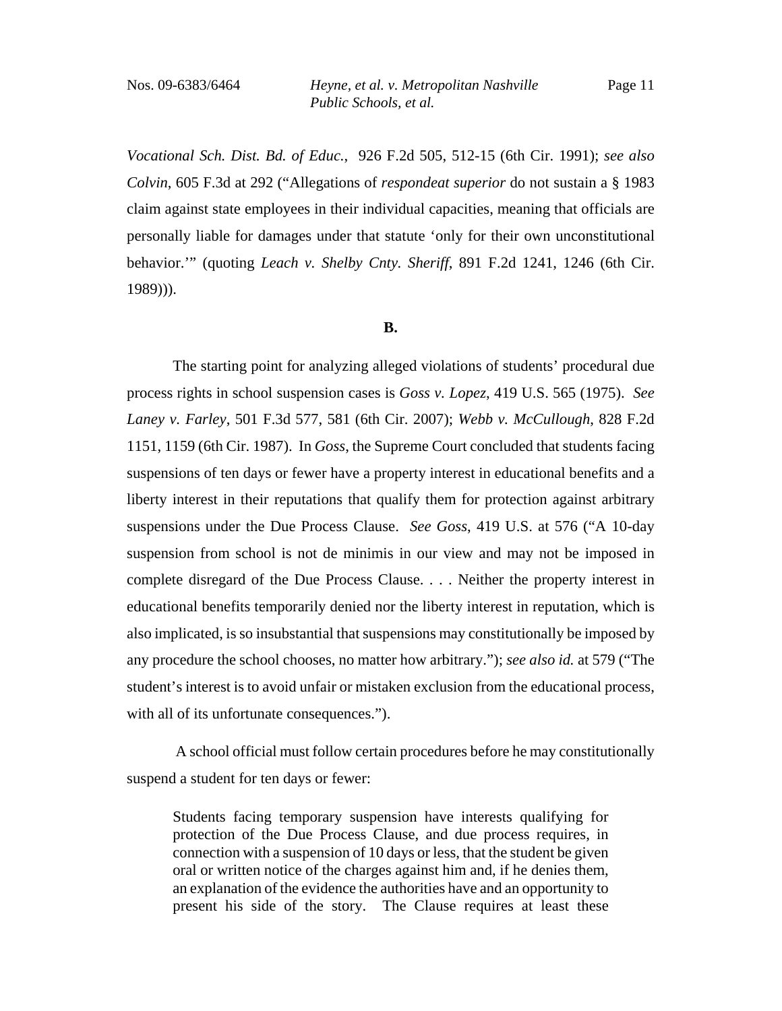*Vocational Sch. Dist. Bd. of Educ.*, 926 F.2d 505, 512-15 (6th Cir. 1991); *see also Colvin*, 605 F.3d at 292 ("Allegations of *respondeat superior* do not sustain a § 1983 claim against state employees in their individual capacities, meaning that officials are personally liable for damages under that statute 'only for their own unconstitutional behavior.'" (quoting *Leach v. Shelby Cnty. Sheriff*, 891 F.2d 1241, 1246 (6th Cir. 1989))).

#### **B.**

The starting point for analyzing alleged violations of students' procedural due process rights in school suspension cases is *Goss v. Lopez*, 419 U.S. 565 (1975). *See Laney v. Farley*, 501 F.3d 577, 581 (6th Cir. 2007); *Webb v. McCullough*, 828 F.2d 1151, 1159 (6th Cir. 1987). In *Goss*, the Supreme Court concluded that students facing suspensions of ten days or fewer have a property interest in educational benefits and a liberty interest in their reputations that qualify them for protection against arbitrary suspensions under the Due Process Clause. *See Goss*, 419 U.S. at 576 ("A 10-day suspension from school is not de minimis in our view and may not be imposed in complete disregard of the Due Process Clause. . . . Neither the property interest in educational benefits temporarily denied nor the liberty interest in reputation, which is also implicated, is so insubstantial that suspensions may constitutionally be imposed by any procedure the school chooses, no matter how arbitrary."); *see also id.* at 579 ("The student's interest is to avoid unfair or mistaken exclusion from the educational process, with all of its unfortunate consequences.").

 A school official must follow certain procedures before he may constitutionally suspend a student for ten days or fewer:

Students facing temporary suspension have interests qualifying for protection of the Due Process Clause, and due process requires, in connection with a suspension of 10 days or less, that the student be given oral or written notice of the charges against him and, if he denies them, an explanation of the evidence the authorities have and an opportunity to present his side of the story. The Clause requires at least these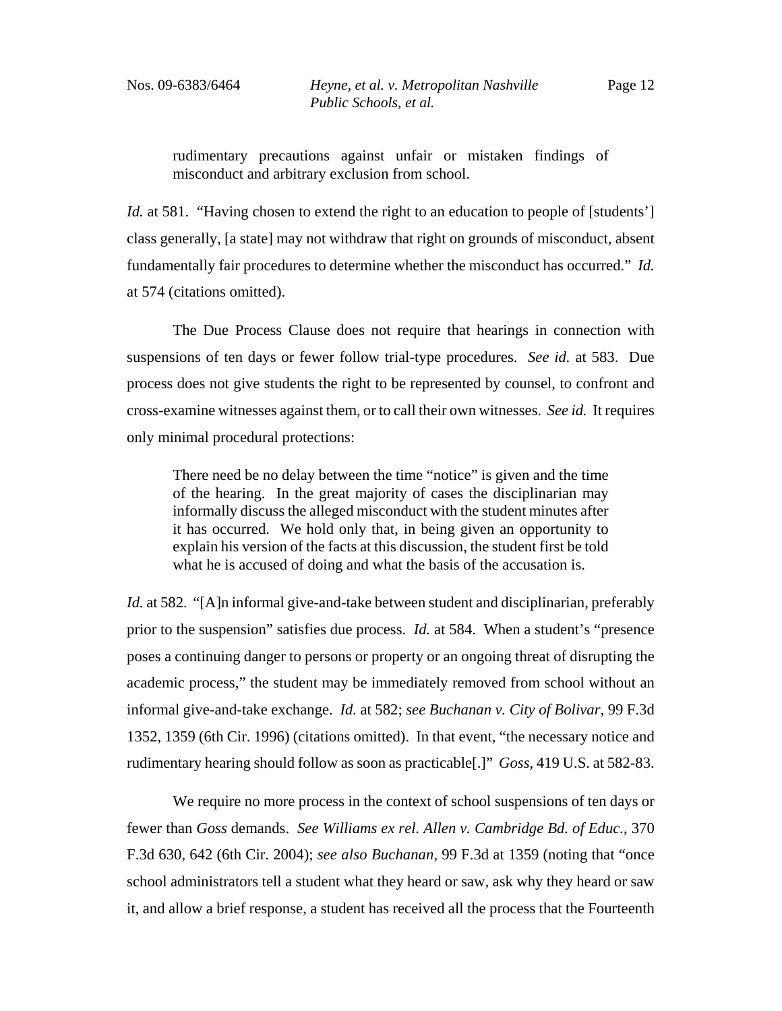rudimentary precautions against unfair or mistaken findings of misconduct and arbitrary exclusion from school.

*Id.* at 581. "Having chosen to extend the right to an education to people of [students'] class generally, [a state] may not withdraw that right on grounds of misconduct, absent fundamentally fair procedures to determine whether the misconduct has occurred." *Id.* at 574 (citations omitted).

The Due Process Clause does not require that hearings in connection with suspensions of ten days or fewer follow trial-type procedures. *See id.* at 583. Due process does not give students the right to be represented by counsel, to confront and cross-examine witnesses against them, or to call their own witnesses. *See id.* It requires only minimal procedural protections:

There need be no delay between the time "notice" is given and the time of the hearing. In the great majority of cases the disciplinarian may informally discuss the alleged misconduct with the student minutes after it has occurred. We hold only that, in being given an opportunity to explain his version of the facts at this discussion, the student first be told what he is accused of doing and what the basis of the accusation is.

*Id.* at 582. "[A]n informal give-and-take between student and disciplinarian, preferably prior to the suspension" satisfies due process. *Id.* at 584. When a student's "presence poses a continuing danger to persons or property or an ongoing threat of disrupting the academic process," the student may be immediately removed from school without an informal give-and-take exchange. *Id.* at 582; *see Buchanan v. City of Bolivar*, 99 F.3d 1352, 1359 (6th Cir. 1996) (citations omitted). In that event, "the necessary notice and rudimentary hearing should follow as soon as practicable[.]" *Goss*, 419 U.S. at 582-83.

We require no more process in the context of school suspensions of ten days or fewer than *Goss* demands. *See Williams ex rel. Allen v. Cambridge Bd. of Educ.*, 370 F.3d 630, 642 (6th Cir. 2004); *see also Buchanan*, 99 F.3d at 1359 (noting that "once school administrators tell a student what they heard or saw, ask why they heard or saw it, and allow a brief response, a student has received all the process that the Fourteenth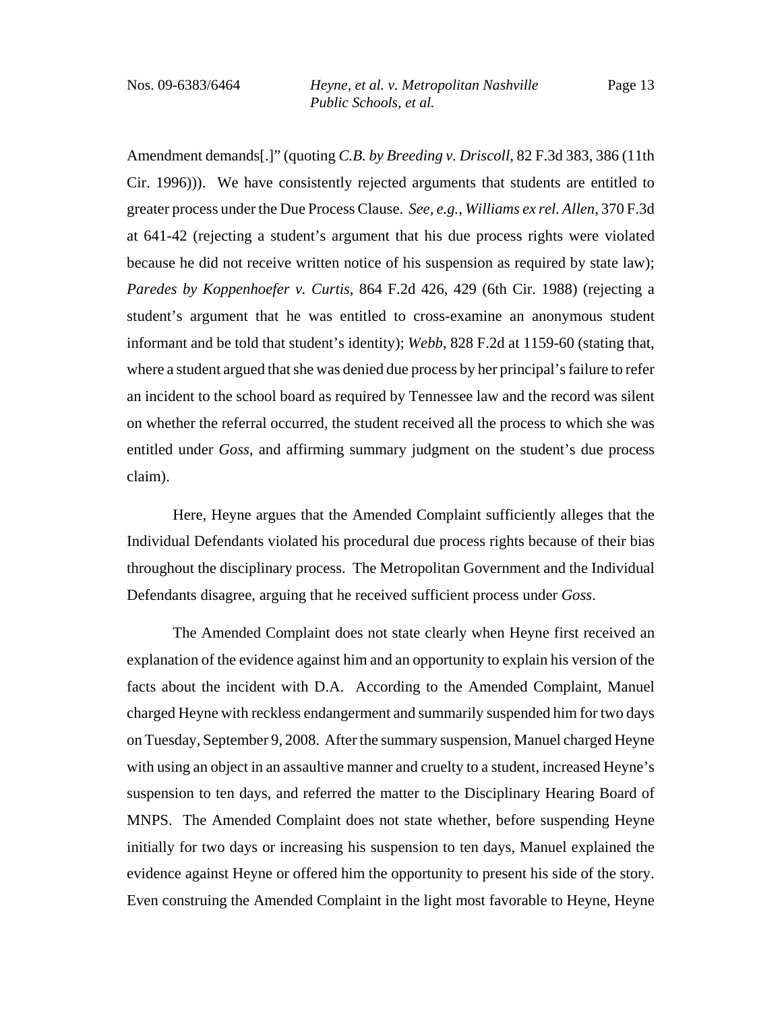Amendment demands[.]" (quoting *C.B. by Breeding v. Driscoll*, 82 F.3d 383, 386 (11th Cir. 1996))). We have consistently rejected arguments that students are entitled to greater process under the Due Process Clause. *See, e.g.*, *Williams ex rel. Allen*, 370 F.3d at 641-42 (rejecting a student's argument that his due process rights were violated because he did not receive written notice of his suspension as required by state law); *Paredes by Koppenhoefer v. Curtis*, 864 F.2d 426, 429 (6th Cir. 1988) (rejecting a student's argument that he was entitled to cross-examine an anonymous student informant and be told that student's identity); *Webb*, 828 F.2d at 1159-60 (stating that, where a student argued that she was denied due process by her principal's failure to refer an incident to the school board as required by Tennessee law and the record was silent on whether the referral occurred, the student received all the process to which she was entitled under *Goss*, and affirming summary judgment on the student's due process claim).

Here, Heyne argues that the Amended Complaint sufficiently alleges that the Individual Defendants violated his procedural due process rights because of their bias throughout the disciplinary process. The Metropolitan Government and the Individual Defendants disagree, arguing that he received sufficient process under *Goss*.

The Amended Complaint does not state clearly when Heyne first received an explanation of the evidence against him and an opportunity to explain his version of the facts about the incident with D.A. According to the Amended Complaint, Manuel charged Heyne with reckless endangerment and summarily suspended him for two days on Tuesday, September 9, 2008. After the summary suspension, Manuel charged Heyne with using an object in an assaultive manner and cruelty to a student, increased Heyne's suspension to ten days, and referred the matter to the Disciplinary Hearing Board of MNPS. The Amended Complaint does not state whether, before suspending Heyne initially for two days or increasing his suspension to ten days, Manuel explained the evidence against Heyne or offered him the opportunity to present his side of the story. Even construing the Amended Complaint in the light most favorable to Heyne, Heyne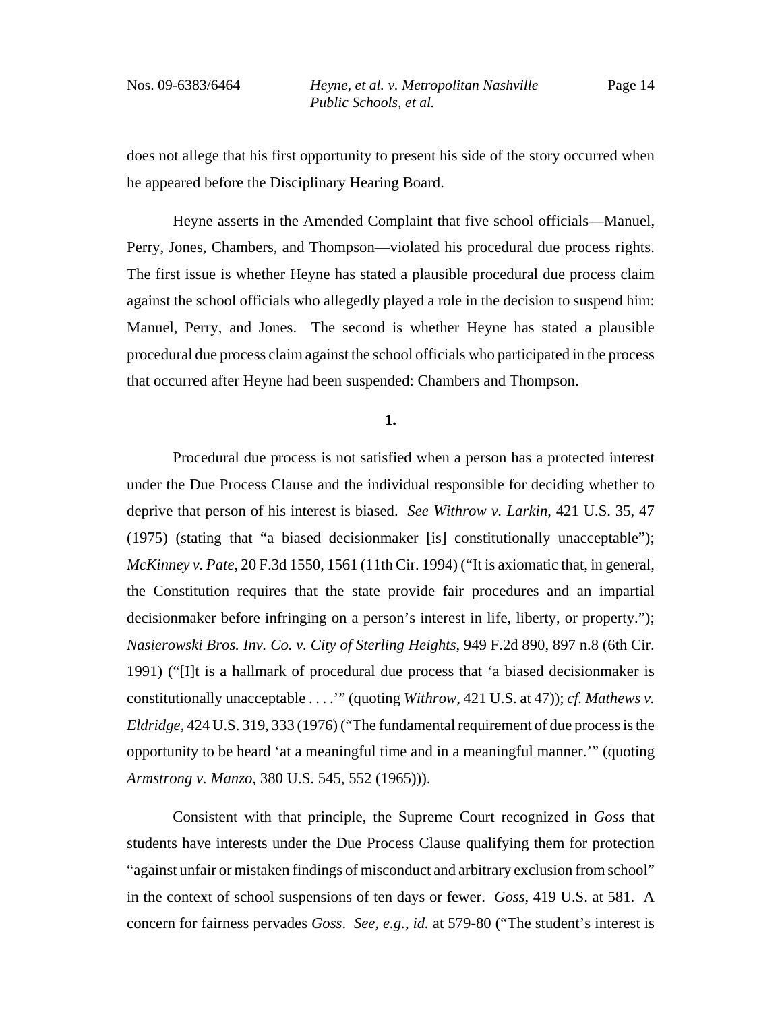does not allege that his first opportunity to present his side of the story occurred when he appeared before the Disciplinary Hearing Board.

Heyne asserts in the Amended Complaint that five school officials—Manuel, Perry, Jones, Chambers, and Thompson—violated his procedural due process rights. The first issue is whether Heyne has stated a plausible procedural due process claim against the school officials who allegedly played a role in the decision to suspend him: Manuel, Perry, and Jones. The second is whether Heyne has stated a plausible procedural due process claim against the school officials who participated in the process that occurred after Heyne had been suspended: Chambers and Thompson.

**1.**

Procedural due process is not satisfied when a person has a protected interest under the Due Process Clause and the individual responsible for deciding whether to deprive that person of his interest is biased. *See Withrow v. Larkin*, 421 U.S. 35, 47 (1975) (stating that "a biased decisionmaker [is] constitutionally unacceptable"); *McKinney v. Pate*, 20 F.3d 1550, 1561 (11th Cir. 1994) ("It is axiomatic that, in general, the Constitution requires that the state provide fair procedures and an impartial decisionmaker before infringing on a person's interest in life, liberty, or property."); *Nasierowski Bros. Inv. Co. v. City of Sterling Heights*, 949 F.2d 890, 897 n.8 (6th Cir. 1991) ("[I]t is a hallmark of procedural due process that 'a biased decisionmaker is constitutionally unacceptable . . . .'" (quoting *Withrow*, 421 U.S. at 47)); *cf. Mathews v. Eldridge*, 424 U.S. 319, 333 (1976) ("The fundamental requirement of due process is the opportunity to be heard 'at a meaningful time and in a meaningful manner.'" (quoting *Armstrong v. Manzo*, 380 U.S. 545, 552 (1965))).

Consistent with that principle, the Supreme Court recognized in *Goss* that students have interests under the Due Process Clause qualifying them for protection "against unfair or mistaken findings of misconduct and arbitrary exclusion from school" in the context of school suspensions of ten days or fewer. *Goss*, 419 U.S. at 581. A concern for fairness pervades *Goss*. *See, e.g.*, *id.* at 579-80 ("The student's interest is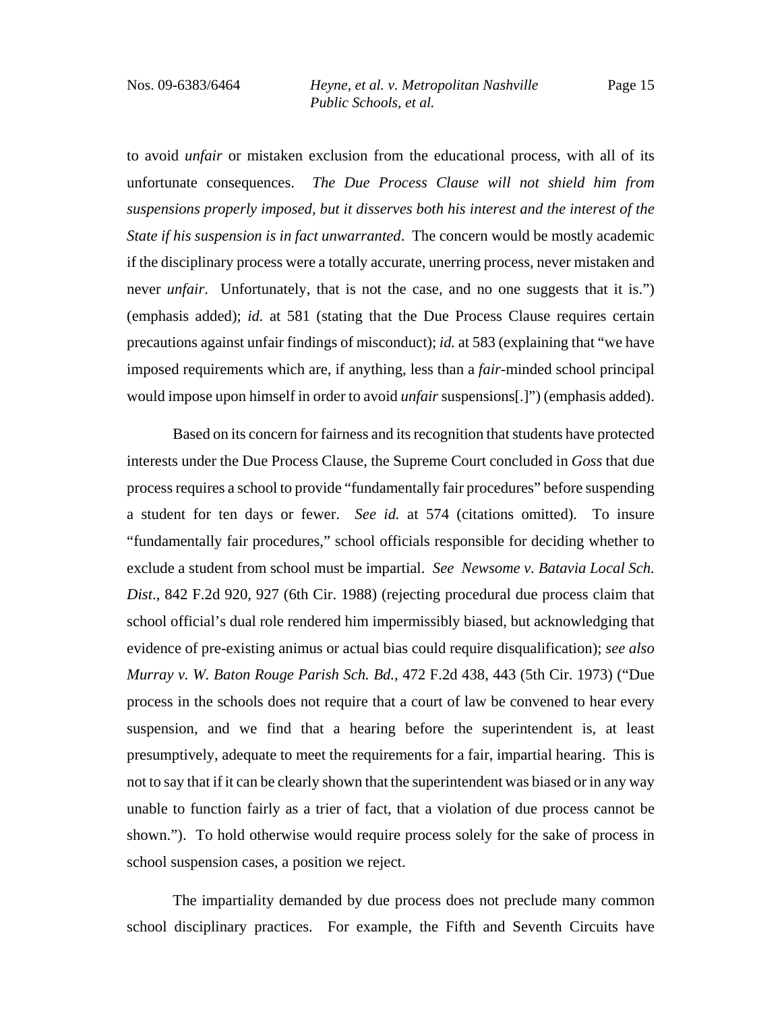to avoid *unfair* or mistaken exclusion from the educational process, with all of its unfortunate consequences. *The Due Process Clause will not shield him from suspensions properly imposed, but it disserves both his interest and the interest of the State if his suspension is in fact unwarranted*. The concern would be mostly academic if the disciplinary process were a totally accurate, unerring process, never mistaken and never *unfair*. Unfortunately, that is not the case, and no one suggests that it is.") (emphasis added); *id.* at 581 (stating that the Due Process Clause requires certain precautions against unfair findings of misconduct); *id.* at 583 (explaining that "we have imposed requirements which are, if anything, less than a *fair*-minded school principal would impose upon himself in order to avoid *unfair* suspensions[.]") (emphasis added).

Based on its concern for fairness and its recognition that students have protected interests under the Due Process Clause, the Supreme Court concluded in *Goss* that due process requires a school to provide "fundamentally fair procedures" before suspending a student for ten days or fewer. *See id.* at 574 (citations omitted). To insure "fundamentally fair procedures," school officials responsible for deciding whether to exclude a student from school must be impartial. *See Newsome v. Batavia Local Sch. Dist*., 842 F.2d 920, 927 (6th Cir. 1988) (rejecting procedural due process claim that school official's dual role rendered him impermissibly biased, but acknowledging that evidence of pre-existing animus or actual bias could require disqualification); *see also Murray v. W. Baton Rouge Parish Sch. Bd.*, 472 F.2d 438, 443 (5th Cir. 1973) ("Due process in the schools does not require that a court of law be convened to hear every suspension, and we find that a hearing before the superintendent is, at least presumptively, adequate to meet the requirements for a fair, impartial hearing. This is not to say that if it can be clearly shown that the superintendent was biased or in any way unable to function fairly as a trier of fact, that a violation of due process cannot be shown."). To hold otherwise would require process solely for the sake of process in school suspension cases, a position we reject.

The impartiality demanded by due process does not preclude many common school disciplinary practices. For example, the Fifth and Seventh Circuits have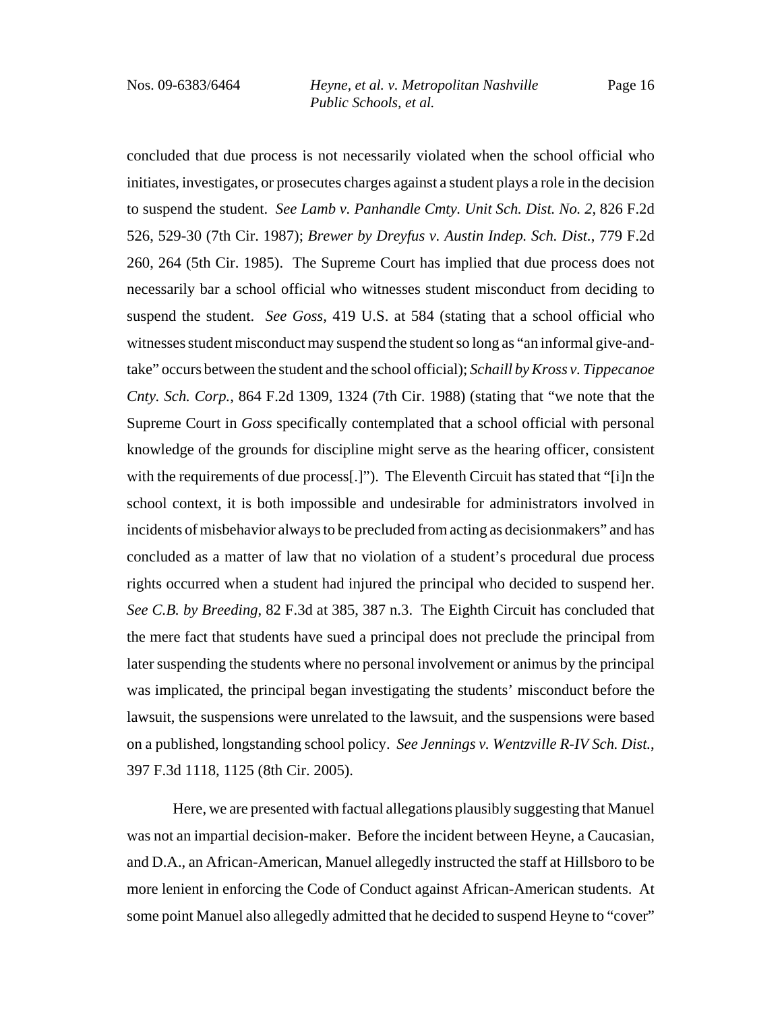concluded that due process is not necessarily violated when the school official who initiates, investigates, or prosecutes charges against a student plays a role in the decision to suspend the student. *See Lamb v. Panhandle Cmty. Unit Sch. Dist. No. 2*, 826 F.2d 526, 529-30 (7th Cir. 1987); *Brewer by Dreyfus v. Austin Indep. Sch. Dist.*, 779 F.2d 260, 264 (5th Cir. 1985). The Supreme Court has implied that due process does not necessarily bar a school official who witnesses student misconduct from deciding to suspend the student. *See Goss*, 419 U.S. at 584 (stating that a school official who witnesses student misconduct may suspend the student so long as "an informal give-andtake" occurs between the student and the school official); *Schaill by Kross v. Tippecanoe Cnty. Sch. Corp.*, 864 F.2d 1309, 1324 (7th Cir. 1988) (stating that "we note that the Supreme Court in *Goss* specifically contemplated that a school official with personal knowledge of the grounds for discipline might serve as the hearing officer, consistent with the requirements of due process[.]"). The Eleventh Circuit has stated that "[i]n the school context, it is both impossible and undesirable for administrators involved in incidents of misbehavior always to be precluded from acting as decisionmakers" and has concluded as a matter of law that no violation of a student's procedural due process rights occurred when a student had injured the principal who decided to suspend her. *See C.B. by Breeding*, 82 F.3d at 385, 387 n.3. The Eighth Circuit has concluded that the mere fact that students have sued a principal does not preclude the principal from later suspending the students where no personal involvement or animus by the principal was implicated, the principal began investigating the students' misconduct before the lawsuit, the suspensions were unrelated to the lawsuit, and the suspensions were based on a published, longstanding school policy. *See Jennings v. Wentzville R-IV Sch. Dist.*, 397 F.3d 1118, 1125 (8th Cir. 2005).

Here, we are presented with factual allegations plausibly suggesting that Manuel was not an impartial decision-maker. Before the incident between Heyne, a Caucasian, and D.A., an African-American, Manuel allegedly instructed the staff at Hillsboro to be more lenient in enforcing the Code of Conduct against African-American students. At some point Manuel also allegedly admitted that he decided to suspend Heyne to "cover"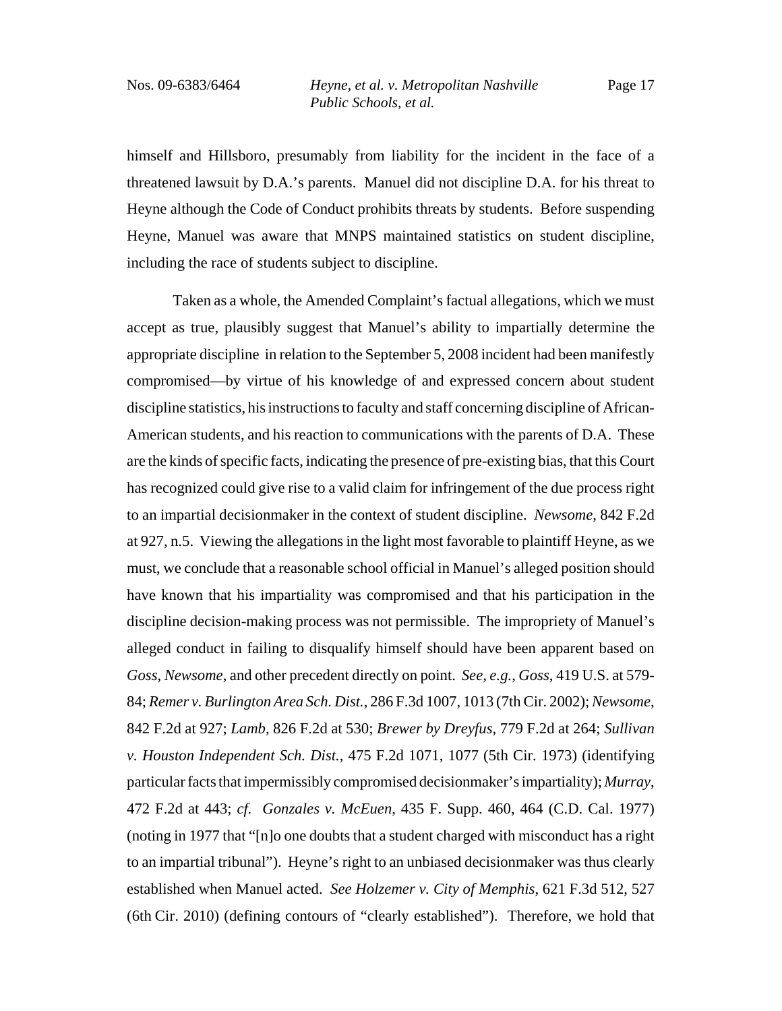himself and Hillsboro, presumably from liability for the incident in the face of a threatened lawsuit by D.A.'s parents. Manuel did not discipline D.A. for his threat to Heyne although the Code of Conduct prohibits threats by students. Before suspending Heyne, Manuel was aware that MNPS maintained statistics on student discipline, including the race of students subject to discipline.

Taken as a whole, the Amended Complaint's factual allegations, which we must accept as true, plausibly suggest that Manuel's ability to impartially determine the appropriate discipline in relation to the September 5, 2008 incident had been manifestly compromised—by virtue of his knowledge of and expressed concern about student discipline statistics, his instructions to faculty and staff concerning discipline of African-American students, and his reaction to communications with the parents of D.A. These are the kinds of specific facts, indicating the presence of pre-existing bias, that this Court has recognized could give rise to a valid claim for infringement of the due process right to an impartial decisionmaker in the context of student discipline. *Newsome*, 842 F.2d at 927, n.5. Viewing the allegations in the light most favorable to plaintiff Heyne, as we must, we conclude that a reasonable school official in Manuel's alleged position should have known that his impartiality was compromised and that his participation in the discipline decision-making process was not permissible. The impropriety of Manuel's alleged conduct in failing to disqualify himself should have been apparent based on *Goss*, *Newsome*, and other precedent directly on point. *See, e.g.*, *Goss*, 419 U.S. at 579- 84; *Remer v. Burlington Area Sch. Dist.*, 286 F.3d 1007, 1013 (7th Cir. 2002); *Newsome*, 842 F.2d at 927; *Lamb*, 826 F.2d at 530; *Brewer by Dreyfus*, 779 F.2d at 264; *Sullivan v. Houston Independent Sch. Dist.*, 475 F.2d 1071, 1077 (5th Cir. 1973) (identifying particular facts that impermissibly compromised decisionmaker's impartiality); *Murray*, 472 F.2d at 443; *cf. Gonzales v. McEuen*, 435 F. Supp. 460, 464 (C.D. Cal. 1977) (noting in 1977 that "[n]o one doubts that a student charged with misconduct has a right to an impartial tribunal"). Heyne's right to an unbiased decisionmaker was thus clearly established when Manuel acted. *See Holzemer v. City of Memphis*, 621 F.3d 512, 527 (6th Cir. 2010) (defining contours of "clearly established"). Therefore, we hold that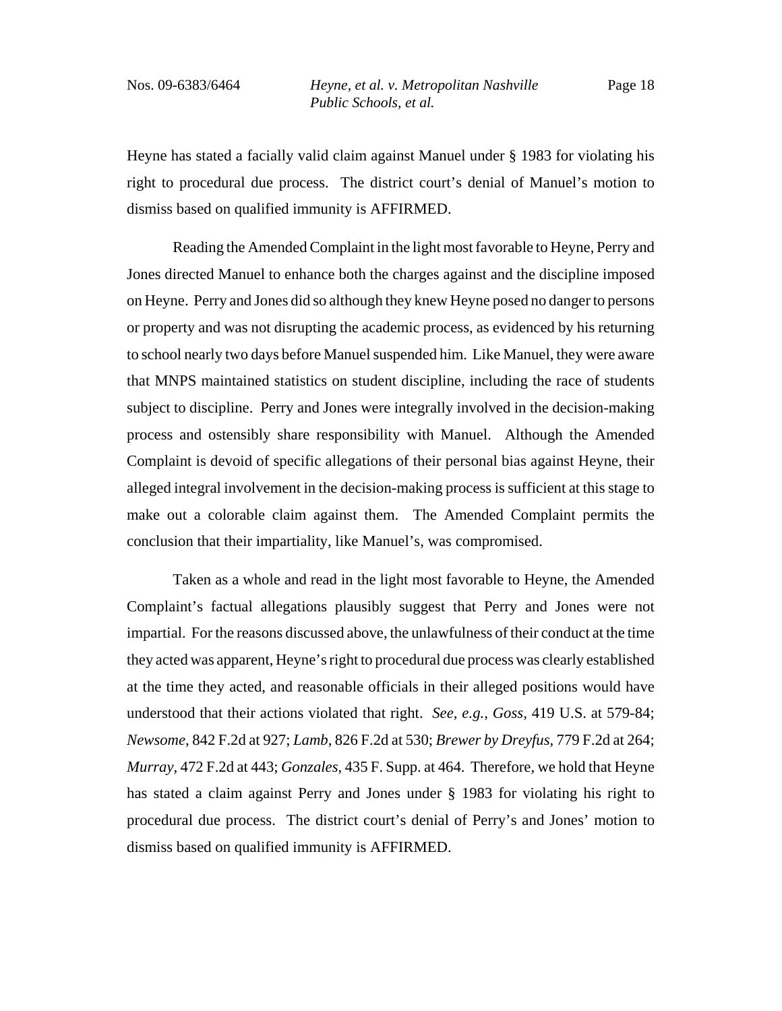Heyne has stated a facially valid claim against Manuel under § 1983 for violating his right to procedural due process. The district court's denial of Manuel's motion to dismiss based on qualified immunity is AFFIRMED.

Reading the Amended Complaint in the light most favorable to Heyne, Perry and Jones directed Manuel to enhance both the charges against and the discipline imposed on Heyne. Perry and Jones did so although they knew Heyne posed no danger to persons or property and was not disrupting the academic process, as evidenced by his returning to school nearly two days before Manuel suspended him. Like Manuel, they were aware that MNPS maintained statistics on student discipline, including the race of students subject to discipline. Perry and Jones were integrally involved in the decision-making process and ostensibly share responsibility with Manuel. Although the Amended Complaint is devoid of specific allegations of their personal bias against Heyne, their alleged integral involvement in the decision-making process is sufficient at this stage to make out a colorable claim against them. The Amended Complaint permits the conclusion that their impartiality, like Manuel's, was compromised.

Taken as a whole and read in the light most favorable to Heyne, the Amended Complaint's factual allegations plausibly suggest that Perry and Jones were not impartial. For the reasons discussed above, the unlawfulness of their conduct at the time they acted was apparent, Heyne's right to procedural due process was clearly established at the time they acted, and reasonable officials in their alleged positions would have understood that their actions violated that right. *See, e.g.*, *Goss*, 419 U.S. at 579-84; *Newsome*, 842 F.2d at 927; *Lamb*, 826 F.2d at 530; *Brewer by Dreyfus*, 779 F.2d at 264; *Murray*, 472 F.2d at 443; *Gonzales*, 435 F. Supp. at 464. Therefore, we hold that Heyne has stated a claim against Perry and Jones under § 1983 for violating his right to procedural due process. The district court's denial of Perry's and Jones' motion to dismiss based on qualified immunity is AFFIRMED.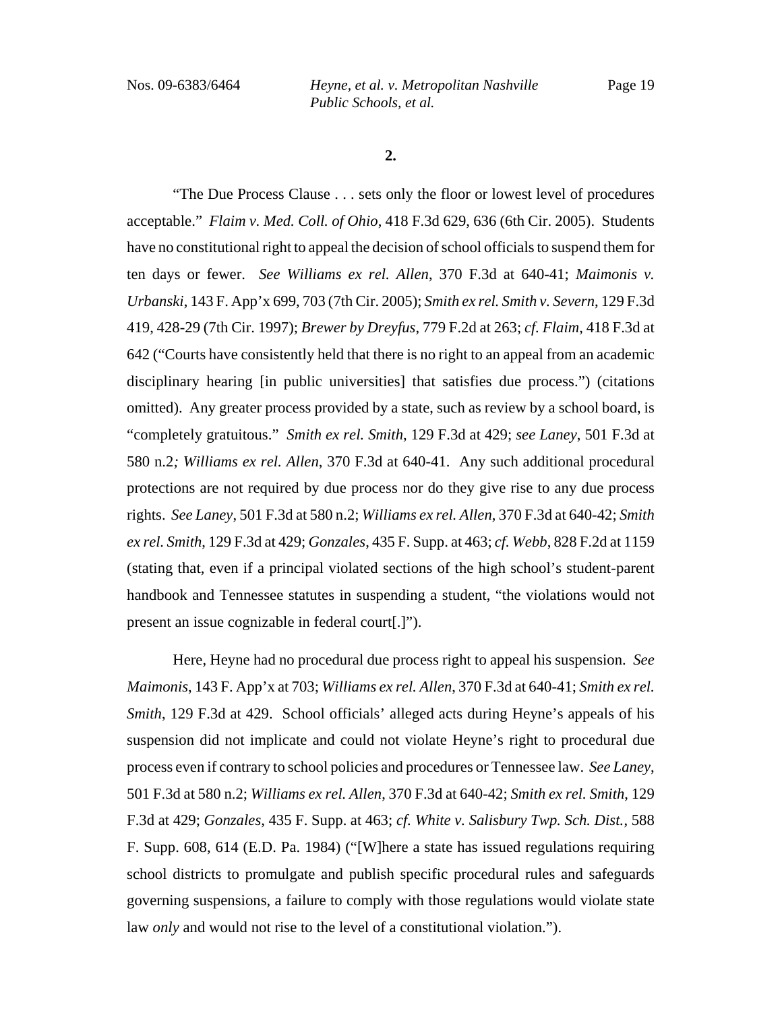Nos. 09-6383/6464 *Heyne, et al. v. Metropolitan Nashville Public Schools, et al.*

**2.**

"The Due Process Clause . . . sets only the floor or lowest level of procedures acceptable." *Flaim v. Med. Coll. of Ohio*, 418 F.3d 629, 636 (6th Cir. 2005). Students have no constitutional right to appeal the decision of school officials to suspend them for ten days or fewer. *See Williams ex rel. Allen*, 370 F.3d at 640-41; *Maimonis v. Urbanski*, 143 F. App'x 699, 703 (7th Cir. 2005); *Smith ex rel. Smith v. Severn*, 129 F.3d 419, 428-29 (7th Cir. 1997); *Brewer by Dreyfus*, 779 F.2d at 263; *cf. Flaim*, 418 F.3d at 642 ("Courts have consistently held that there is no right to an appeal from an academic disciplinary hearing [in public universities] that satisfies due process.") (citations omitted). Any greater process provided by a state, such as review by a school board, is "completely gratuitous." *Smith ex rel. Smith*, 129 F.3d at 429; *see Laney*, 501 F.3d at 580 n.2*; Williams ex rel. Allen*, 370 F.3d at 640-41. Any such additional procedural protections are not required by due process nor do they give rise to any due process rights. *See Laney*, 501 F.3d at 580 n.2; *Williams ex rel. Allen*, 370 F.3d at 640-42; *Smith ex rel. Smith*, 129 F.3d at 429; *Gonzales*, 435 F. Supp. at 463; *cf. Webb*, 828 F.2d at 1159 (stating that, even if a principal violated sections of the high school's student-parent handbook and Tennessee statutes in suspending a student, "the violations would not present an issue cognizable in federal court[.]").

Here, Heyne had no procedural due process right to appeal his suspension. *See Maimonis*, 143 F. App'x at 703; *Williams ex rel. Allen*, 370 F.3d at 640-41; *Smith ex rel. Smith*, 129 F.3d at 429. *School officials' alleged acts during Heyne's appeals of his* suspension did not implicate and could not violate Heyne's right to procedural due process even if contrary to school policies and procedures or Tennessee law. *See Laney*, 501 F.3d at 580 n.2; *Williams ex rel. Allen*, 370 F.3d at 640-42; *Smith ex rel. Smith*, 129 F.3d at 429; *Gonzales*, 435 F. Supp. at 463; *cf. White v. Salisbury Twp. Sch. Dist.*, 588 F. Supp. 608, 614 (E.D. Pa. 1984) ("[W]here a state has issued regulations requiring school districts to promulgate and publish specific procedural rules and safeguards governing suspensions, a failure to comply with those regulations would violate state law *only* and would not rise to the level of a constitutional violation.").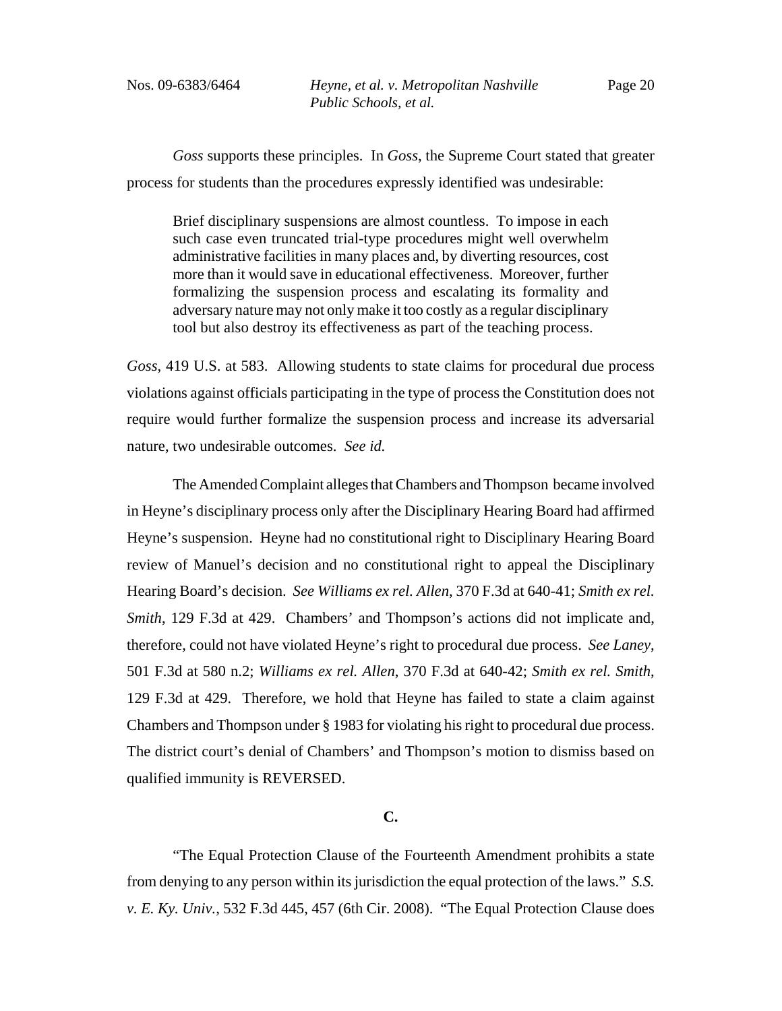*Goss* supports these principles. In *Goss*, the Supreme Court stated that greater process for students than the procedures expressly identified was undesirable:

Brief disciplinary suspensions are almost countless. To impose in each such case even truncated trial-type procedures might well overwhelm administrative facilities in many places and, by diverting resources, cost more than it would save in educational effectiveness. Moreover, further formalizing the suspension process and escalating its formality and adversary nature may not only make it too costly as a regular disciplinary tool but also destroy its effectiveness as part of the teaching process.

*Goss*, 419 U.S. at 583. Allowing students to state claims for procedural due process violations against officials participating in the type of process the Constitution does not require would further formalize the suspension process and increase its adversarial nature, two undesirable outcomes. *See id.*

The Amended Complaint alleges that Chambers and Thompson became involved in Heyne's disciplinary process only after the Disciplinary Hearing Board had affirmed Heyne's suspension. Heyne had no constitutional right to Disciplinary Hearing Board review of Manuel's decision and no constitutional right to appeal the Disciplinary Hearing Board's decision. *See Williams ex rel. Allen*, 370 F.3d at 640-41; *Smith ex rel. Smith*, 129 F.3d at 429. Chambers' and Thompson's actions did not implicate and, therefore, could not have violated Heyne's right to procedural due process. *See Laney*, 501 F.3d at 580 n.2; *Williams ex rel. Allen*, 370 F.3d at 640-42; *Smith ex rel. Smith*, 129 F.3d at 429. Therefore, we hold that Heyne has failed to state a claim against Chambers and Thompson under § 1983 for violating his right to procedural due process. The district court's denial of Chambers' and Thompson's motion to dismiss based on qualified immunity is REVERSED.

### **C.**

"The Equal Protection Clause of the Fourteenth Amendment prohibits a state from denying to any person within its jurisdiction the equal protection of the laws." *S.S. v. E. Ky. Univ.*, 532 F.3d 445, 457 (6th Cir. 2008). "The Equal Protection Clause does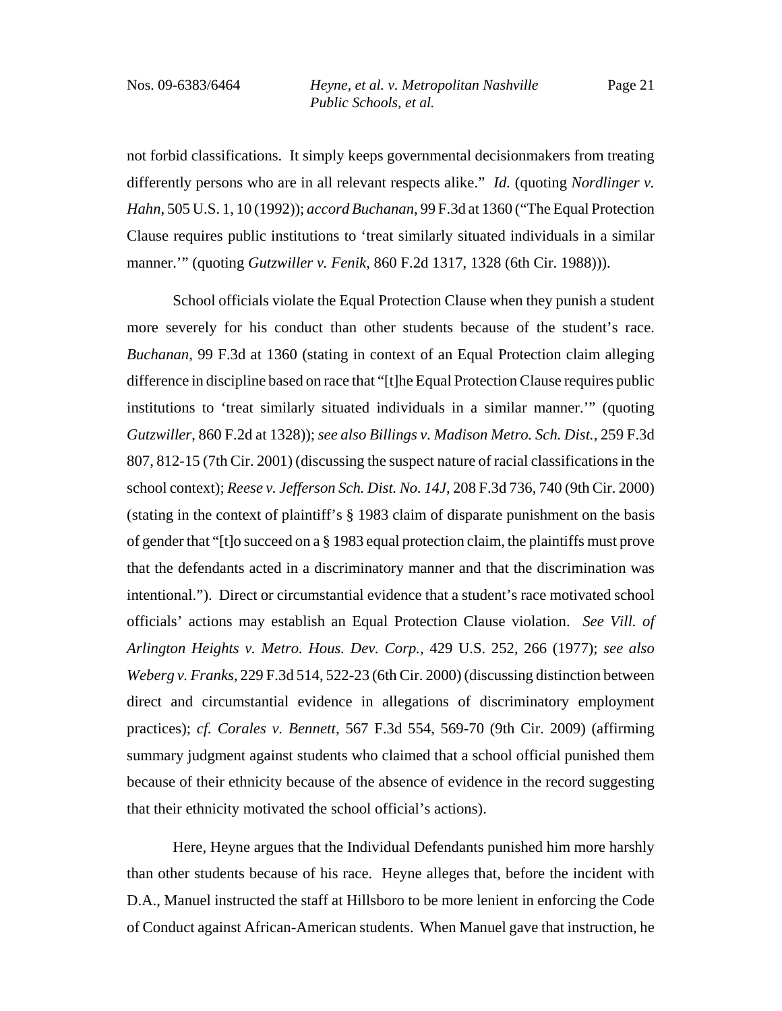Page 21

not forbid classifications. It simply keeps governmental decisionmakers from treating differently persons who are in all relevant respects alike." *Id.* (quoting *Nordlinger v. Hahn*, 505 U.S. 1, 10 (1992)); *accord Buchanan*, 99 F.3d at 1360 ("The Equal Protection Clause requires public institutions to 'treat similarly situated individuals in a similar manner.'" (quoting *Gutzwiller v. Fenik*, 860 F.2d 1317, 1328 (6th Cir. 1988))).

School officials violate the Equal Protection Clause when they punish a student more severely for his conduct than other students because of the student's race. *Buchanan*, 99 F.3d at 1360 (stating in context of an Equal Protection claim alleging difference in discipline based on race that "[t]he Equal Protection Clause requires public institutions to 'treat similarly situated individuals in a similar manner.'" (quoting *Gutzwiller*, 860 F.2d at 1328)); *see also Billings v. Madison Metro. Sch. Dist.*, 259 F.3d 807, 812-15 (7th Cir. 2001) (discussing the suspect nature of racial classifications in the school context); *Reese v. Jefferson Sch. Dist. No. 14J*, 208 F.3d 736, 740 (9th Cir. 2000) (stating in the context of plaintiff's § 1983 claim of disparate punishment on the basis of gender that "[t]o succeed on a § 1983 equal protection claim, the plaintiffs must prove that the defendants acted in a discriminatory manner and that the discrimination was intentional.").Direct or circumstantial evidence that a student's race motivated school officials' actions may establish an Equal Protection Clause violation. *See Vill. of Arlington Heights v. Metro. Hous. Dev. Corp.*, 429 U.S. 252, 266 (1977); *see also Weberg v. Franks*, 229 F.3d 514, 522-23 (6th Cir. 2000) (discussing distinction between direct and circumstantial evidence in allegations of discriminatory employment practices); *cf. Corales v. Bennett*, 567 F.3d 554, 569-70 (9th Cir. 2009) (affirming summary judgment against students who claimed that a school official punished them because of their ethnicity because of the absence of evidence in the record suggesting that their ethnicity motivated the school official's actions).

Here, Heyne argues that the Individual Defendants punished him more harshly than other students because of his race. Heyne alleges that, before the incident with D.A., Manuel instructed the staff at Hillsboro to be more lenient in enforcing the Code of Conduct against African-American students. When Manuel gave that instruction, he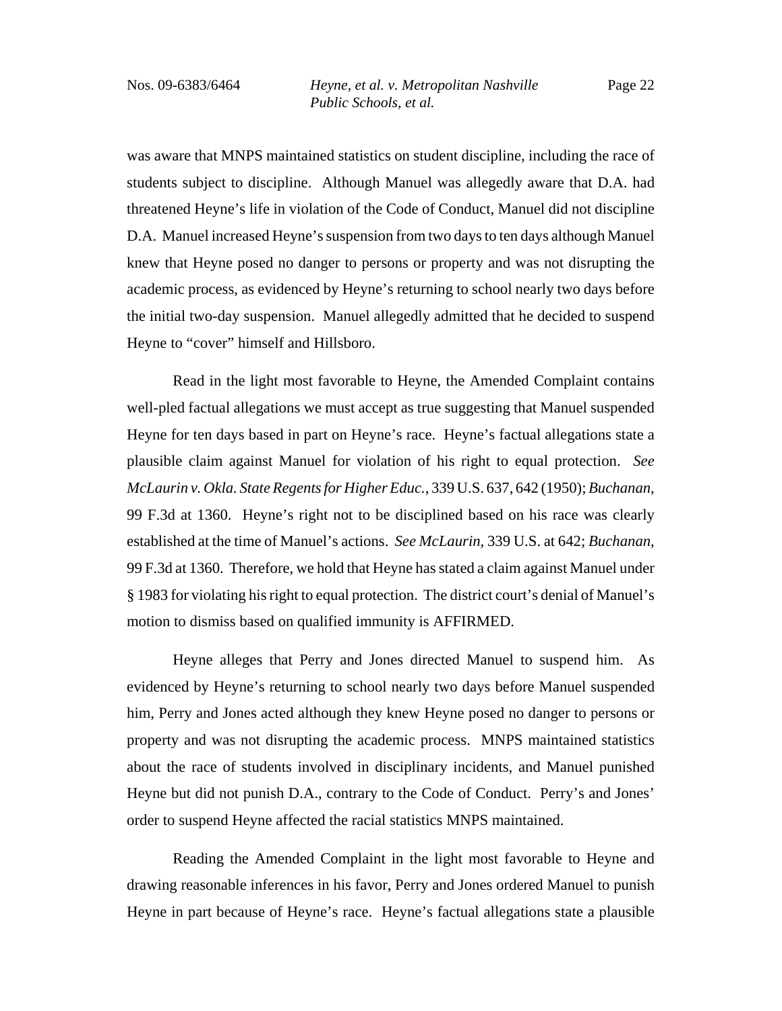was aware that MNPS maintained statistics on student discipline, including the race of students subject to discipline. Although Manuel was allegedly aware that D.A. had threatened Heyne's life in violation of the Code of Conduct, Manuel did not discipline D.A. Manuel increased Heyne's suspension from two days to ten days although Manuel knew that Heyne posed no danger to persons or property and was not disrupting the academic process, as evidenced by Heyne's returning to school nearly two days before the initial two-day suspension. Manuel allegedly admitted that he decided to suspend Heyne to "cover" himself and Hillsboro.

Read in the light most favorable to Heyne, the Amended Complaint contains well-pled factual allegations we must accept as true suggesting that Manuel suspended Heyne for ten days based in part on Heyne's race. Heyne's factual allegations state a plausible claim against Manuel for violation of his right to equal protection. *See McLaurin v. Okla. State Regents for Higher Educ.*, 339 U.S. 637, 642 (1950); *Buchanan*, 99 F.3d at 1360. Heyne's right not to be disciplined based on his race was clearly established at the time of Manuel's actions. *See McLaurin*, 339 U.S. at 642; *Buchanan*, 99 F.3d at 1360. Therefore, we hold that Heyne has stated a claim against Manuel under § 1983 for violating his right to equal protection. The district court's denial of Manuel's motion to dismiss based on qualified immunity is AFFIRMED.

Heyne alleges that Perry and Jones directed Manuel to suspend him. As evidenced by Heyne's returning to school nearly two days before Manuel suspended him, Perry and Jones acted although they knew Heyne posed no danger to persons or property and was not disrupting the academic process. MNPS maintained statistics about the race of students involved in disciplinary incidents, and Manuel punished Heyne but did not punish D.A., contrary to the Code of Conduct. Perry's and Jones' order to suspend Heyne affected the racial statistics MNPS maintained.

Reading the Amended Complaint in the light most favorable to Heyne and drawing reasonable inferences in his favor, Perry and Jones ordered Manuel to punish Heyne in part because of Heyne's race. Heyne's factual allegations state a plausible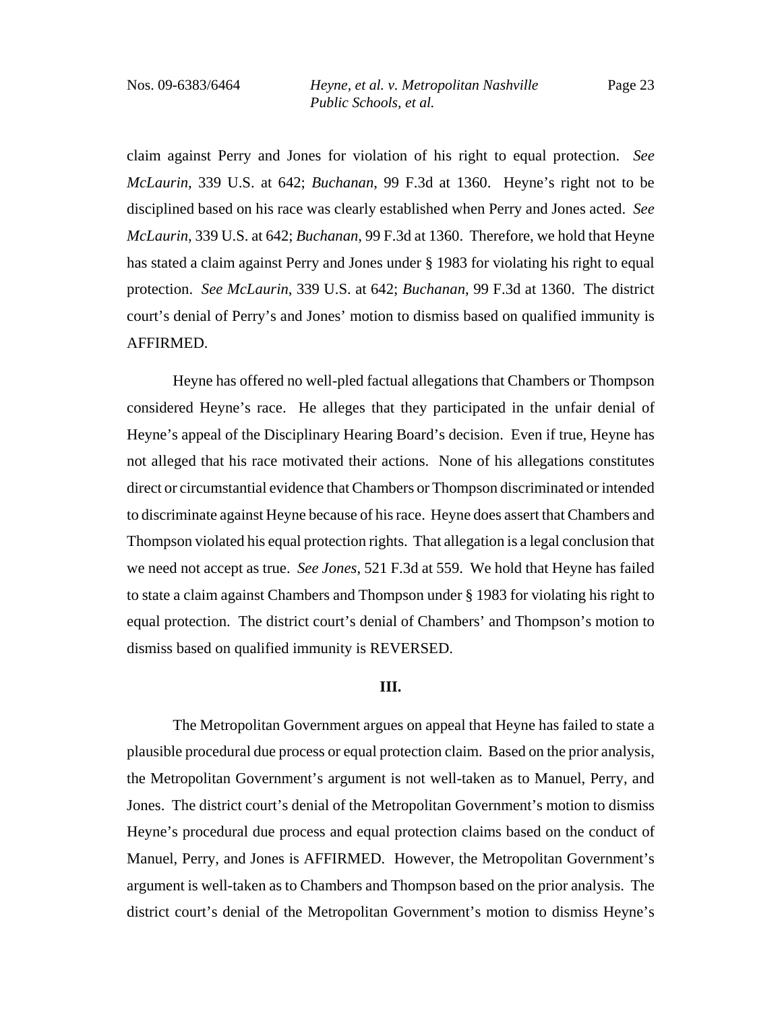claim against Perry and Jones for violation of his right to equal protection. *See McLaurin*, 339 U.S. at 642; *Buchanan*, 99 F.3d at 1360. Heyne's right not to be disciplined based on his race was clearly established when Perry and Jones acted. *See McLaurin*, 339 U.S. at 642; *Buchanan*, 99 F.3d at 1360. Therefore, we hold that Heyne has stated a claim against Perry and Jones under § 1983 for violating his right to equal protection. *See McLaurin*, 339 U.S. at 642; *Buchanan*, 99 F.3d at 1360. The district court's denial of Perry's and Jones' motion to dismiss based on qualified immunity is AFFIRMED.

Heyne has offered no well-pled factual allegations that Chambers or Thompson considered Heyne's race. He alleges that they participated in the unfair denial of Heyne's appeal of the Disciplinary Hearing Board's decision. Even if true, Heyne has not alleged that his race motivated their actions. None of his allegations constitutes direct or circumstantial evidence that Chambers or Thompson discriminated or intended to discriminate against Heyne because of his race. Heyne does assert that Chambers and Thompson violated his equal protection rights. That allegation is a legal conclusion that we need not accept as true. *See Jones*, 521 F.3d at 559. We hold that Heyne has failed to state a claim against Chambers and Thompson under § 1983 for violating his right to equal protection. The district court's denial of Chambers' and Thompson's motion to dismiss based on qualified immunity is REVERSED.

### **III.**

The Metropolitan Government argues on appeal that Heyne has failed to state a plausible procedural due process or equal protection claim. Based on the prior analysis, the Metropolitan Government's argument is not well-taken as to Manuel, Perry, and Jones. The district court's denial of the Metropolitan Government's motion to dismiss Heyne's procedural due process and equal protection claims based on the conduct of Manuel, Perry, and Jones is AFFIRMED. However, the Metropolitan Government's argument is well-taken as to Chambers and Thompson based on the prior analysis. The district court's denial of the Metropolitan Government's motion to dismiss Heyne's